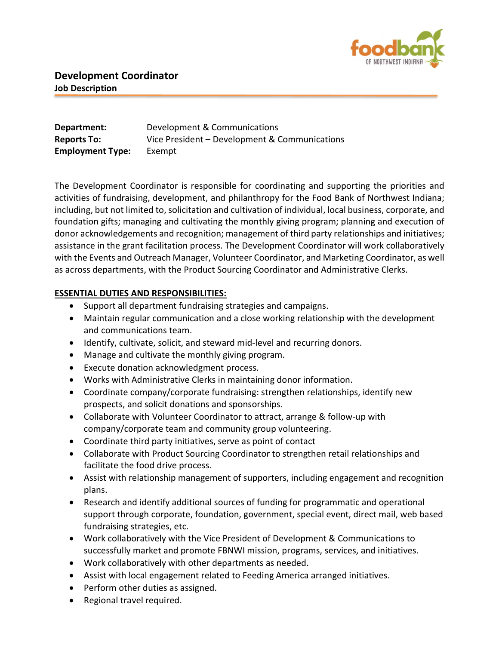

| Department:             | Development & Communications                  |
|-------------------------|-----------------------------------------------|
| <b>Reports To:</b>      | Vice President – Development & Communications |
| <b>Employment Type:</b> | Exempt                                        |

The Development Coordinator is responsible for coordinating and supporting the priorities and activities of fundraising, development, and philanthropy for the Food Bank of Northwest Indiana; including, but not limited to, solicitation and cultivation of individual, local business, corporate, and foundation gifts; managing and cultivating the monthly giving program; planning and execution of donor acknowledgements and recognition; management of third party relationships and initiatives; assistance in the grant facilitation process. The Development Coordinator will work collaboratively with the Events and Outreach Manager, Volunteer Coordinator, and Marketing Coordinator, as well as across departments, with the Product Sourcing Coordinator and Administrative Clerks.

## ESSENTIAL DUTIES AND RESPONSIBILITIES:

- Support all department fundraising strategies and campaigns.
- Maintain regular communication and a close working relationship with the development and communications team.
- Identify, cultivate, solicit, and steward mid-level and recurring donors.
- Manage and cultivate the monthly giving program.
- Execute donation acknowledgment process.
- Works with Administrative Clerks in maintaining donor information.
- Coordinate company/corporate fundraising: strengthen relationships, identify new prospects, and solicit donations and sponsorships.
- Collaborate with Volunteer Coordinator to attract, arrange & follow-up with company/corporate team and community group volunteering.
- Coordinate third party initiatives, serve as point of contact
- Collaborate with Product Sourcing Coordinator to strengthen retail relationships and facilitate the food drive process.
- Assist with relationship management of supporters, including engagement and recognition plans.
- Research and identify additional sources of funding for programmatic and operational support through corporate, foundation, government, special event, direct mail, web based fundraising strategies, etc.
- Work collaboratively with the Vice President of Development & Communications to successfully market and promote FBNWI mission, programs, services, and initiatives.
- Work collaboratively with other departments as needed.
- Assist with local engagement related to Feeding America arranged initiatives.
- Perform other duties as assigned.
- Regional travel required.